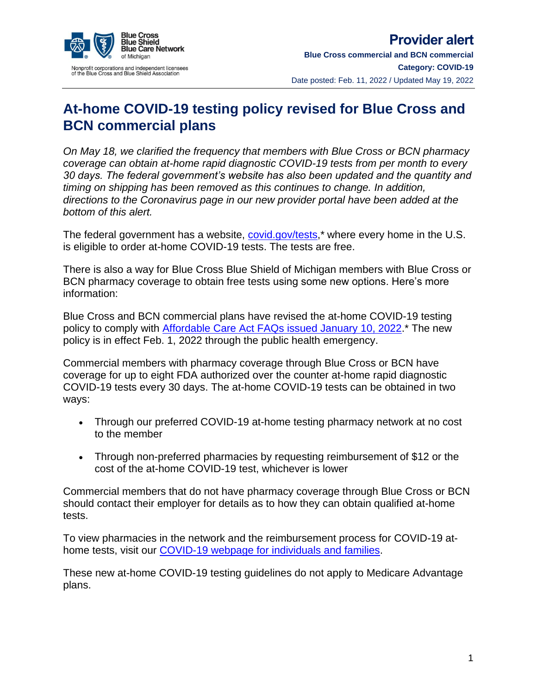

## **At-home COVID-19 testing policy revised for Blue Cross and BCN commercial plans**

*On May 18, we clarified the frequency that members with Blue Cross or BCN pharmacy coverage can obtain at-home rapid diagnostic COVID-19 tests from per month to every 30 days. The federal government's website has also been updated and the quantity and timing on shipping has been removed as this continues to change. In addition, directions to the Coronavirus page in our new provider portal have been added at the bottom of this alert.*

The federal government has a website, [covid.gov/tests,](https://www.covid.gov/tests)\* where every home in the U.S. is eligible to order at-home COVID-19 tests. The tests are free.

There is also a way for Blue Cross Blue Shield of Michigan members with Blue Cross or BCN pharmacy coverage to obtain free tests using some new options. Here's more information:

Blue Cross and BCN commercial plans have revised the at-home COVID-19 testing policy to comply with [Affordable Care Act FAQs issued January 10, 2022.](https://www.dol.gov/sites/dolgov/files/EBSA/about-ebsa/our-activities/resource-center/faqs/aca-part-51.pdf)\* The new policy is in effect Feb. 1, 2022 through the public health emergency.

Commercial members with pharmacy coverage through Blue Cross or BCN have coverage for up to eight FDA authorized over the counter at-home rapid diagnostic COVID-19 tests every 30 days. The at-home COVID-19 tests can be obtained in two ways:

- Through our preferred COVID-19 at-home testing pharmacy network at no cost to the member
- Through non-preferred pharmacies by requesting reimbursement of \$12 or the cost of the at-home COVID-19 test, whichever is lower

Commercial members that do not have pharmacy coverage through Blue Cross or BCN should contact their employer for details as to how they can obtain qualified at-home tests.

To view pharmacies in the network and the reimbursement process for COVID-19 athome tests, visit our [COVID-19 webpage for individuals and families.](https://www.bcbsm.com/content/public/en/index/common/important-information/covid-19.html?spiff=covid-19&locaton=Homepage-5)

These new at-home COVID-19 testing guidelines do not apply to Medicare Advantage plans.